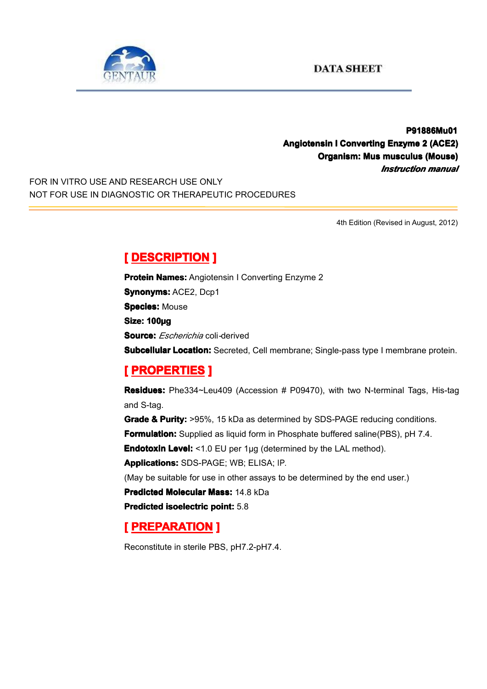



**P91886Mu01 P91886Mu01 P91886Mu01 Angiotensin Angiotensin AngiotensinI Converting Converting ConvertingEnzyme 2 (ACE2) Organism: Mus musculus musculus(Mouse) (Mouse)** *Instruction manual*

FOR IN VITRO USE AND RESEARCH USE ONLY NOT FOR USE IN DIAGNOSTIC OR THERAPEUTIC PROCEDURES

4th Edition (Revised in August, 2012)

### **[ DESCRIPTION DESCRIPTION DESCRIPTIONDESCRIPTION]**

**Protein Names:** Angiotensin I Converting Enzyme 2 **Synonyms: ACE2, Dcp1 Species: Mouse Size: 100µg Source:** *Escherichia* coli*-*derived **Subcellular Location:** Secreted, Cell membrane; Single-pass type I membrane protein.

# **[ PROPERTIES ROPERTIES ROPERTIES ]**

**Residues Residues:** Phe334~Leu409 (Accession # P09470), with two N-terminal Tags, His-tag and S-tag.

Grade & Purity: >95%, 15 kDa as determined by SDS-PAGE reducing conditions. **Formulation:** Supplied as liquid form in Phosphate buffered saline(PBS), pH 7.4.

**Endotoxin Level:** <1.0 EU per 1µg (determined by the LAL method).

**Applications:** SDS-PAGE; WB; ELISA; IP.

(May be suitable for use in other assays to be determined by the end user.)

**Predicted Molecular Mass: 14.8 kDa** 

**Predicted [isoelectric](app:ds:  isoelectric point) isoelectric point:** 5.8

## **[ PREPARATION PREPARATION]**

Reconstitute in sterile PBS, pH7.2-pH7.4.